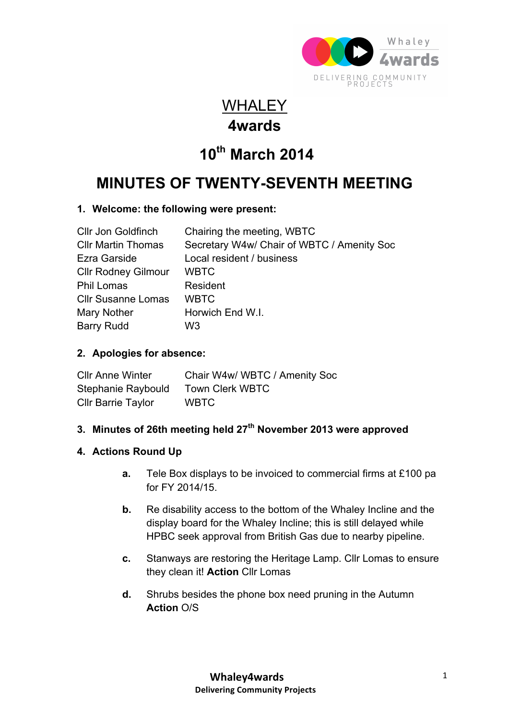

### **WHALEY 4wards**

# **10th March 2014**

## **MINUTES OF TWENTY-SEVENTH MEETING**

#### **1. Welcome: the following were present:**

| <b>CIIr Jon Goldfinch</b>  | Chairing the meeting, WBTC                 |
|----------------------------|--------------------------------------------|
| <b>CIIr Martin Thomas</b>  | Secretary W4w/ Chair of WBTC / Amenity Soc |
| Ezra Garside               | Local resident / business                  |
| <b>Cllr Rodney Gilmour</b> | <b>WBTC</b>                                |
| <b>Phil Lomas</b>          | Resident                                   |
| <b>CIIr Susanne Lomas</b>  | <b>WBTC</b>                                |
| Mary Nother                | Horwich End W.I.                           |
| <b>Barry Rudd</b>          | W3                                         |

#### **2. Apologies for absence:**

| <b>CIIr Anne Winter</b>   | Chair W4w/ WBTC / Amenity Soc |
|---------------------------|-------------------------------|
| Stephanie Raybould        | <b>Town Clerk WBTC</b>        |
| <b>Cllr Barrie Taylor</b> | <b>WBTC</b>                   |

#### **3. Minutes of 26th meeting held 27th November 2013 were approved**

#### **4. Actions Round Up**

- **a.** Tele Box displays to be invoiced to commercial firms at £100 pa for FY 2014/15.
- **b.** Re disability access to the bottom of the Whaley Incline and the display board for the Whaley Incline; this is still delayed while HPBC seek approval from British Gas due to nearby pipeline.
- **c.** Stanways are restoring the Heritage Lamp. Cllr Lomas to ensure they clean it! **Action** Cllr Lomas
- **d.** Shrubs besides the phone box need pruning in the Autumn **Action** O/S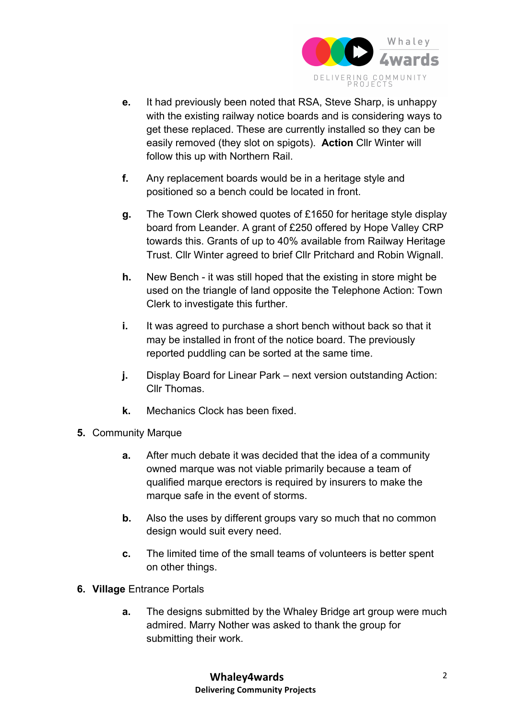

- **e.** It had previously been noted that RSA, Steve Sharp, is unhappy with the existing railway notice boards and is considering ways to get these replaced. These are currently installed so they can be easily removed (they slot on spigots). **Action** Cllr Winter will follow this up with Northern Rail.
- **f.** Any replacement boards would be in a heritage style and positioned so a bench could be located in front.
- **g.** The Town Clerk showed quotes of £1650 for heritage style display board from Leander. A grant of £250 offered by Hope Valley CRP towards this. Grants of up to 40% available from Railway Heritage Trust. Cllr Winter agreed to brief Cllr Pritchard and Robin Wignall.
- **h.** New Bench it was still hoped that the existing in store might be used on the triangle of land opposite the Telephone Action: Town Clerk to investigate this further.
- **i.** It was agreed to purchase a short bench without back so that it may be installed in front of the notice board. The previously reported puddling can be sorted at the same time.
- **j.** Display Board for Linear Park next version outstanding Action: Cllr Thomas.
- **k.** Mechanics Clock has been fixed.
- **5.** Community Marque
	- **a.** After much debate it was decided that the idea of a community owned marque was not viable primarily because a team of qualified marque erectors is required by insurers to make the marque safe in the event of storms.
	- **b.** Also the uses by different groups vary so much that no common design would suit every need.
	- **c.** The limited time of the small teams of volunteers is better spent on other things.
- **6. Village** Entrance Portals
	- **a.** The designs submitted by the Whaley Bridge art group were much admired. Marry Nother was asked to thank the group for submitting their work.